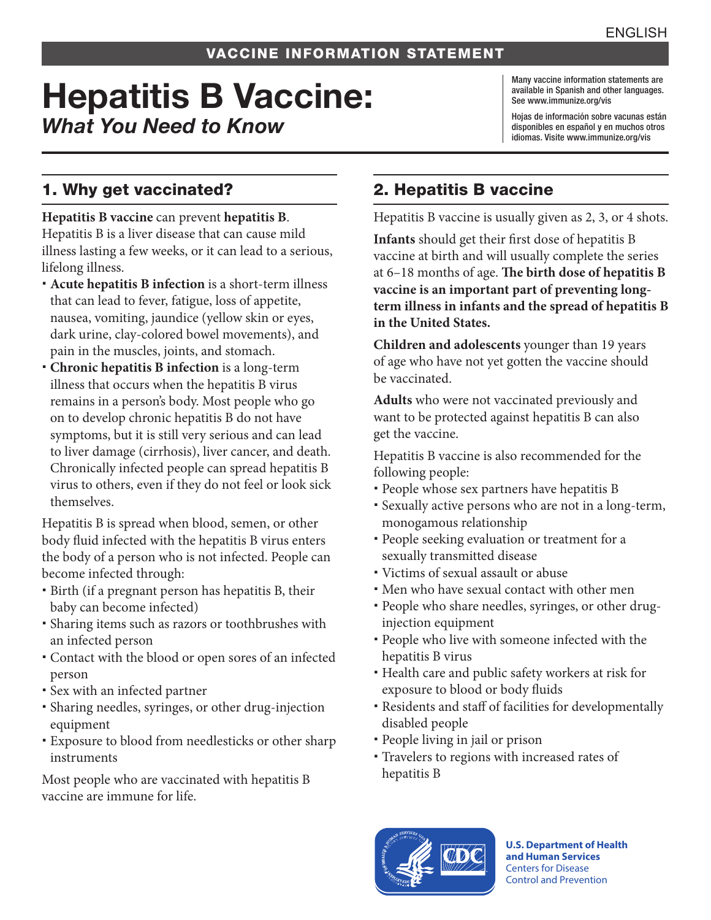# Hepatitis B Vaccine: *What You Need to Know*

Many vaccine information statements are available in Spanish and other languages. See www.immunize.org/vis

Hojas de información sobre vacunas están disponibles en español y en muchos otros idiomas. Visite www.immunize.org/vis

### 1. Why get vaccinated?

**Hepatitis B vaccine** can prevent **hepatitis B**. Hepatitis B is a liver disease that can cause mild illness lasting a few weeks, or it can lead to a serious, lifelong illness.

- **Acute hepatitis B infection** is a short-term illness that can lead to fever, fatigue, loss of appetite, nausea, vomiting, jaundice (yellow skin or eyes, dark urine, clay-colored bowel movements), and pain in the muscles, joints, and stomach.
- **Chronic hepatitis B infection** is a long-term illness that occurs when the hepatitis B virus remains in a person's body. Most people who go on to develop chronic hepatitis B do not have symptoms, but it is still very serious and can lead to liver damage (cirrhosis), liver cancer, and death. Chronically infected people can spread hepatitis B virus to others, even if they do not feel or look sick themselves.

Hepatitis B is spread when blood, semen, or other body fluid infected with the hepatitis B virus enters the body of a person who is not infected. People can become infected through:

- Birth (if a pregnant person has hepatitis B, their baby can become infected)
- Sharing items such as razors or toothbrushes with an infected person
- Contact with the blood or open sores of an infected person
- Sex with an infected partner
- Sharing needles, syringes, or other drug-injection equipment
- Exposure to blood from needlesticks or other sharp instruments

Most people who are vaccinated with hepatitis B vaccine are immune for life.

## 2. Hepatitis B vaccine

Hepatitis B vaccine is usually given as 2, 3, or 4 shots.

**Infants** should get their first dose of hepatitis B vaccine at birth and will usually complete the series at 6–18 months of age. **The birth dose of hepatitis B vaccine is an important part of preventing longterm illness in infants and the spread of hepatitis B in the United States.**

**Children and adolescents** younger than 19 years of age who have not yet gotten the vaccine should be vaccinated.

**Adults** who were not vaccinated previously and want to be protected against hepatitis B can also get the vaccine.

Hepatitis B vaccine is also recommended for the following people:

- People whose sex partners have hepatitis B
- Sexually active persons who are not in a long-term, monogamous relationship
- People seeking evaluation or treatment for a sexually transmitted disease
- Victims of sexual assault or abuse
- Men who have sexual contact with other men
- People who share needles, syringes, or other druginjection equipment
- People who live with someone infected with the hepatitis B virus
- Health care and public safety workers at risk for exposure to blood or body fluids
- Residents and staff of facilities for developmentally disabled people
- People living in jail or prison
- Travelers to regions with increased rates of hepatitis B



**U.S. Department of Health and Human Services**  Centers for Disease Control and Prevention